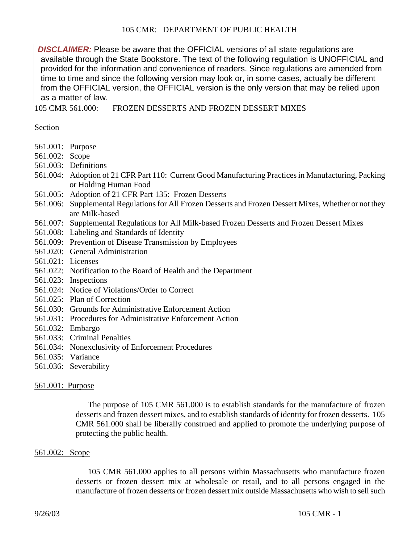**DISCLAIMER:** Please be aware that the OFFICIAL versions of all state regulations are available through the [State Bookstore.](http://www.state.ma.us/sec/spr/sprcat/agencies/105.htm) The text of the following regulation is UNOFFICIAL and provided for the information and convenience of readers. Since regulations are amended from time to time and since the following version may look or, in some cases, actually be different from the OFFICIAL version, the OFFICIAL version is the only version that may be relied upon as a matter of law.

105 CMR 561.000: FROZEN DESSERTS AND FROZEN DESSERT MIXES

Section

- 561.001: Purpose
- 561.002: Scope
- 561.003: Definitions
- 561.004: Adoption of 21 CFR Part 110: Current Good Manufacturing Practices in Manufacturing, Packing or Holding Human Food
- 561.005: Adoption of 21 CFR Part 135: Frozen Desserts
- 561.006: Supplemental Regulations for All Frozen Desserts and Frozen Dessert Mixes, Whether or not they are Milk-based
- 561.007: Supplemental Regulations for All Milk-based Frozen Desserts and Frozen Dessert Mixes
- 561.008: Labeling and Standards of Identity
- 561.009: Prevention of Disease Transmission by Employees
- 561.020: General Administration
- 561.021: Licenses
- 561.022: Notification to the Board of Health and the Department
- 561.023: Inspections
- 561.024: Notice of Violations/Order to Correct
- 561.025: Plan of Correction
- 561.030: Grounds for Administrative Enforcement Action
- 561.031: Procedures for Administrative Enforcement Action
- 561.032: Embargo
- 561.033: Criminal Penalties
- 561.034: Nonexclusivity of Enforcement Procedures
- 561.035: Variance
- 561.036: Severability

### 561.001: Purpose

The purpose of 105 CMR 561.000 is to establish standards for the manufacture of frozen desserts and frozen dessert mixes, and to establish standards of identity for frozen desserts. 105 CMR 561.000 shall be liberally construed and applied to promote the underlying purpose of protecting the public health.

### 561.002: Scope

105 CMR 561.000 applies to all persons within Massachusetts who manufacture frozen desserts or frozen dessert mix at wholesale or retail, and to all persons engaged in the manufacture of frozen desserts or frozen dessert mix outside Massachusetts who wish to sell such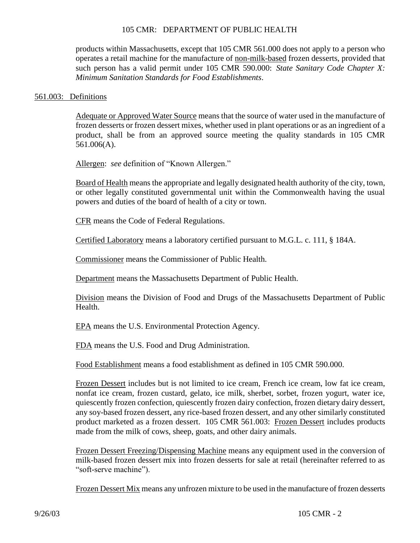products within Massachusetts, except that 105 CMR 561.000 does not apply to a person who operates a retail machine for the manufacture of non-milk-based frozen desserts, provided that such person has a valid permit under 105 CMR 590.000: *State Sanitary Code Chapter X: Minimum Sanitation Standards for Food Establishments*.

#### 561.003: Definitions

Adequate or Approved Water Source means that the source of water used in the manufacture of frozen desserts or frozen dessert mixes, whether used in plant operations or as an ingredient of a product, shall be from an approved source meeting the quality standards in 105 CMR 561.006(A).

Allergen: *see* definition of "Known Allergen."

Board of Health means the appropriate and legally designated health authority of the city, town, or other legally constituted governmental unit within the Commonwealth having the usual powers and duties of the board of health of a city or town.

CFR means the Code of Federal Regulations.

Certified Laboratory means a laboratory certified pursuant to M.G.L. c. 111, § 184A.

Commissioner means the Commissioner of Public Health.

Department means the Massachusetts Department of Public Health.

Division means the Division of Food and Drugs of the Massachusetts Department of Public Health.

EPA means the U.S. Environmental Protection Agency.

FDA means the U.S. Food and Drug Administration.

Food Establishment means a food establishment as defined in 105 CMR 590.000.

Frozen Dessert includes but is not limited to ice cream, French ice cream, low fat ice cream, nonfat ice cream, frozen custard, gelato, ice milk, sherbet, sorbet, frozen yogurt, water ice, quiescently frozen confection, quiescently frozen dairy confection, frozen dietary dairy dessert, any soy-based frozen dessert, any rice-based frozen dessert, and any other similarly constituted product marketed as a frozen dessert. 105 CMR 561.003: Frozen Dessert includes products made from the milk of cows, sheep, goats, and other dairy animals.

Frozen Dessert Freezing/Dispensing Machine means any equipment used in the conversion of milk-based frozen dessert mix into frozen desserts for sale at retail (hereinafter referred to as "soft-serve machine").

Frozen Dessert Mix means any unfrozen mixture to be used in the manufacture of frozen desserts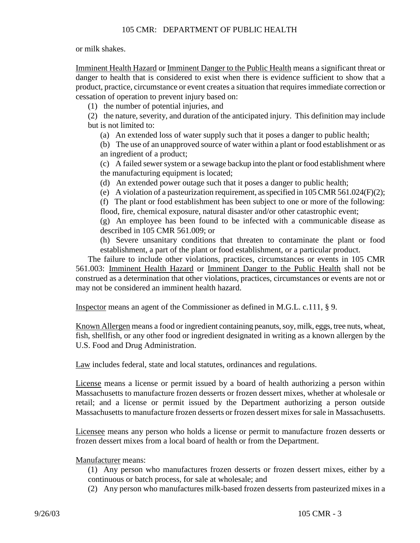or milk shakes.

Imminent Health Hazard or Imminent Danger to the Public Health means a significant threat or danger to health that is considered to exist when there is evidence sufficient to show that a product, practice, circumstance or event creates a situation that requires immediate correction or cessation of operation to prevent injury based on:

(1) the number of potential injuries, and

(2) the nature, severity, and duration of the anticipated injury. This definition may include but is not limited to:

(a) An extended loss of water supply such that it poses a danger to public health;

(b) The use of an unapproved source of water within a plant or food establishment or as an ingredient of a product;

(c) A failed sewer system or a sewage backup into the plant or food establishment where the manufacturing equipment is located;

- (d) An extended power outage such that it poses a danger to public health;
- (e) A violation of a pasteurization requirement, as specified in 105 CMR 561.024(F)(2);

(f) The plant or food establishment has been subject to one or more of the following: flood, fire, chemical exposure, natural disaster and/or other catastrophic event;

(g) An employee has been found to be infected with a communicable disease as described in 105 CMR 561.009; or

(h) Severe unsanitary conditions that threaten to contaminate the plant or food establishment, a part of the plant or food establishment, or a particular product.

The failure to include other violations, practices, circumstances or events in 105 CMR 561.003: Imminent Health Hazard or Imminent Danger to the Public Health shall not be construed as a determination that other violations, practices, circumstances or events are not or may not be considered an imminent health hazard.

Inspector means an agent of the Commissioner as defined in M.G.L. c.111, § 9.

Known Allergen means a food or ingredient containing peanuts, soy, milk, eggs, tree nuts, wheat, fish, shellfish, or any other food or ingredient designated in writing as a known allergen by the U.S. Food and Drug Administration.

Law includes federal, state and local statutes, ordinances and regulations.

License means a license or permit issued by a board of health authorizing a person within Massachusetts to manufacture frozen desserts or frozen dessert mixes, whether at wholesale or retail; and a license or permit issued by the Department authorizing a person outside Massachusetts to manufacture frozen desserts or frozen dessert mixes for sale in Massachusetts.

Licensee means any person who holds a license or permit to manufacture frozen desserts or frozen dessert mixes from a local board of health or from the Department.

# Manufacturer means:

(1) Any person who manufactures frozen desserts or frozen dessert mixes, either by a continuous or batch process, for sale at wholesale; and

(2) Any person who manufactures milk-based frozen desserts from pasteurized mixes in a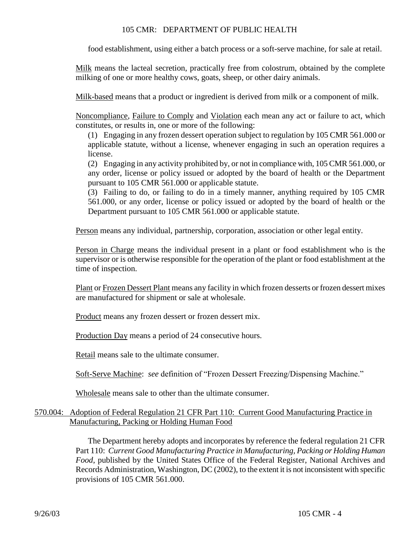food establishment, using either a batch process or a soft-serve machine, for sale at retail.

Milk means the lacteal secretion, practically free from colostrum, obtained by the complete milking of one or more healthy cows, goats, sheep, or other dairy animals.

Milk-based means that a product or ingredient is derived from milk or a component of milk.

Noncompliance, Failure to Comply and Violation each mean any act or failure to act, which constitutes, or results in, one or more of the following:

(1) Engaging in any frozen dessert operation subject to regulation by 105 CMR 561.000 or applicable statute, without a license, whenever engaging in such an operation requires a license.

(2) Engaging in any activity prohibited by, or not in compliance with, 105 CMR 561.000, or any order, license or policy issued or adopted by the board of health or the Department pursuant to 105 CMR 561.000 or applicable statute.

(3) Failing to do, or failing to do in a timely manner, anything required by 105 CMR 561.000, or any order, license or policy issued or adopted by the board of health or the Department pursuant to 105 CMR 561.000 or applicable statute.

Person means any individual, partnership, corporation, association or other legal entity.

Person in Charge means the individual present in a plant or food establishment who is the supervisor or is otherwise responsible for the operation of the plant or food establishment at the time of inspection.

Plant or Frozen Dessert Plant means any facility in which frozen desserts or frozen dessert mixes are manufactured for shipment or sale at wholesale.

Product means any frozen dessert or frozen dessert mix.

Production Day means a period of 24 consecutive hours.

Retail means sale to the ultimate consumer.

Soft-Serve Machine: *see* definition of "Frozen Dessert Freezing/Dispensing Machine."

Wholesale means sale to other than the ultimate consumer.

# 570.004: Adoption of Federal Regulation 21 CFR Part 110: Current Good Manufacturing Practice in Manufacturing, Packing or Holding Human Food

The Department hereby adopts and incorporates by reference the federal regulation 21 CFR Part 110: *Current Good Manufacturing Practice in Manufacturing, Packing or Holding Human Food*, published by the United States Office of the Federal Register, National Archives and Records Administration, Washington, DC (2002), to the extent it is not inconsistent with specific provisions of 105 CMR 561.000.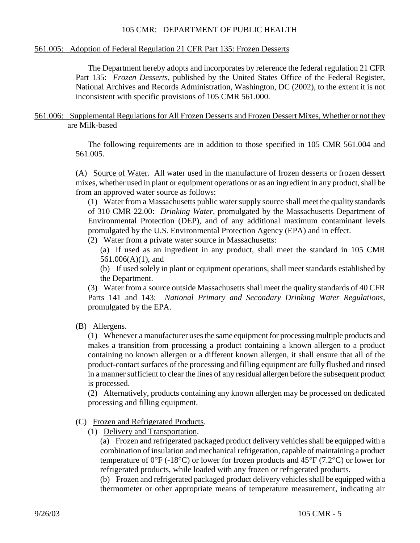#### 561.005: Adoption of Federal Regulation 21 CFR Part 135: Frozen Desserts

The Department hereby adopts and incorporates by reference the federal regulation 21 CFR Part 135: *Frozen Desserts*, published by the United States Office of the Federal Register, National Archives and Records Administration, Washington, DC (2002), to the extent it is not inconsistent with specific provisions of 105 CMR 561.000.

#### 561.006: Supplemental Regulations for All Frozen Desserts and Frozen Dessert Mixes, Whether or not they are Milk-based

The following requirements are in addition to those specified in 105 CMR 561.004 and 561.005.

(A) Source of Water. All water used in the manufacture of frozen desserts or frozen dessert mixes, whether used in plant or equipment operations or as an ingredient in any product, shall be from an approved water source as follows:

(1) Water from a Massachusetts public water supply source shall meet the quality standards of 310 CMR 22.00: *Drinking Water*, promulgated by the Massachusetts Department of Environmental Protection (DEP), and of any additional maximum contaminant levels promulgated by the U.S. Environmental Protection Agency (EPA) and in effect.

(2) Water from a private water source in Massachusetts:

(a) If used as an ingredient in any product, shall meet the standard in 105 CMR 561.006(A)(1), and

(b) If used solely in plant or equipment operations, shall meet standards established by the Department.

(3) Water from a source outside Massachusetts shall meet the quality standards of 40 CFR Parts 141 and 143: *National Primary and Secondary Drinking Water Regulations*, promulgated by the EPA.

(B) Allergens.

(1) Whenever a manufacturer uses the same equipment for processing multiple products and makes a transition from processing a product containing a known allergen to a product containing no known allergen or a different known allergen, it shall ensure that all of the product-contact surfaces of the processing and filling equipment are fully flushed and rinsed in a manner sufficient to clear the lines of any residual allergen before the subsequent product is processed.

(2) Alternatively, products containing any known allergen may be processed on dedicated processing and filling equipment.

- (C) Frozen and Refrigerated Products.
	- (1) Delivery and Transportation.

(a) Frozen and refrigerated packaged product delivery vehicles shall be equipped with a combination of insulation and mechanical refrigeration, capable of maintaining a product temperature of  $0^{\circ}F$  (-18°C) or lower for frozen products and 45°F (7.2°C) or lower for refrigerated products, while loaded with any frozen or refrigerated products.

(b) Frozen and refrigerated packaged product delivery vehicles shall be equipped with a thermometer or other appropriate means of temperature measurement, indicating air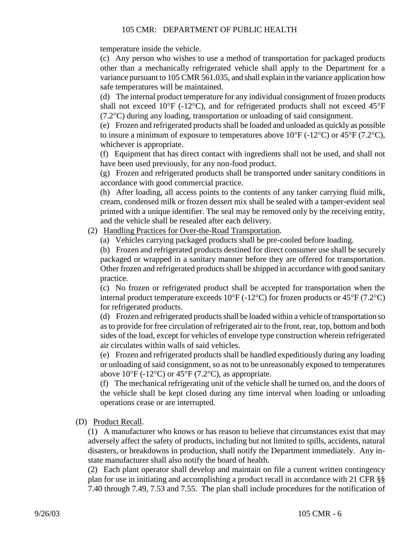temperature inside the vehicle.

(c) Any person who wishes to use a method of transportation for packaged products other than a mechanically refrigerated vehicle shall apply to the Department for a variance pursuant to 105 CMR 561.035, and shall explain in the variance application how safe temperatures will be maintained.

(d) The internal product temperature for any individual consignment of frozen products shall not exceed 10°F (-12°C), and for refrigerated products shall not exceed 45°F  $(7.2^{\circ}$ C) during any loading, transportation or unloading of said consignment.

(e) Frozen and refrigerated products shall be loaded and unloaded as quickly as possible to insure a minimum of exposure to temperatures above  $10^{\circ}F (-12^{\circ}C)$  or  $45^{\circ}F (7.2^{\circ}C)$ , whichever is appropriate.

(f) Equipment that has direct contact with ingredients shall not be used, and shall not have been used previously, for any non-food product.

(g) Frozen and refrigerated products shall be transported under sanitary conditions in accordance with good commercial practice.

(h) After loading, all access points to the contents of any tanker carrying fluid milk, cream, condensed milk or frozen dessert mix shall be sealed with a tamper-evident seal printed with a unique identifier. The seal may be removed only by the receiving entity, and the vehicle shall be resealed after each delivery.

(2) Handling Practices for Over-the-Road Transportation.

(a) Vehicles carrying packaged products shall be pre-cooled before loading.

(b) Frozen and refrigerated products destined for direct consumer use shall be securely packaged or wrapped in a sanitary manner before they are offered for transportation. Other frozen and refrigerated products shall be shipped in accordance with good sanitary practice.

(c) No frozen or refrigerated product shall be accepted for transportation when the internal product temperature exceeds  $10^{\circ}F (-12^{\circ}C)$  for frozen products or 45°F (7.2°C) for refrigerated products.

(d) Frozen and refrigerated products shall be loaded within a vehicle of transportation so as to provide for free circulation of refrigerated air to the front, rear, top, bottom and both sides of the load, except for vehicles of envelope type construction wherein refrigerated air circulates within walls of said vehicles.

(e) Frozen and refrigerated products shall be handled expeditiously during any loading or unloading of said consignment, so as not to be unreasonably exposed to temperatures above  $10^{\circ}$ F (-12<sup>o</sup>C) or 45<sup>o</sup>F (7.2<sup>o</sup>C), as appropriate.

(f) The mechanical refrigerating unit of the vehicle shall be turned on, and the doors of the vehicle shall be kept closed during any time interval when loading or unloading operations cease or are interrupted.

(D) Product Recall.

(1) A manufacturer who knows or has reason to believe that circumstances exist that may adversely affect the safety of products, including but not limited to spills, accidents, natural disasters, or breakdowns in production, shall notify the Department immediately. Any instate manufacturer shall also notify the board of health.

(2) Each plant operator shall develop and maintain on file a current written contingency plan for use in initiating and accomplishing a product recall in accordance with 21 CFR §§ 7.40 through 7.49, 7.53 and 7.55. The plan shall include procedures for the notification of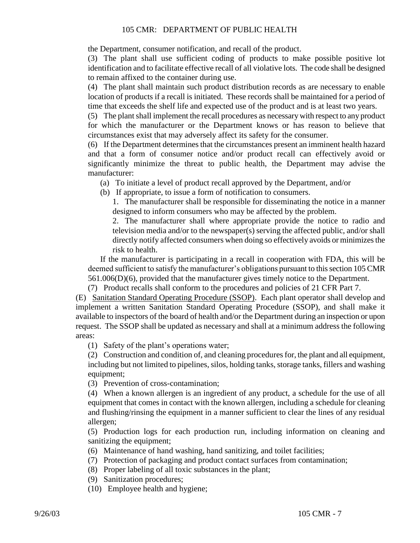the Department, consumer notification, and recall of the product.

(3) The plant shall use sufficient coding of products to make possible positive lot identification and to facilitate effective recall of all violative lots. The code shall be designed to remain affixed to the container during use.

(4) The plant shall maintain such product distribution records as are necessary to enable location of products if a recall is initiated. These records shall be maintained for a period of time that exceeds the shelf life and expected use of the product and is at least two years.

(5) The plant shall implement the recall procedures as necessary with respect to any product for which the manufacturer or the Department knows or has reason to believe that circumstances exist that may adversely affect its safety for the consumer.

(6) If the Department determines that the circumstances present an imminent health hazard and that a form of consumer notice and/or product recall can effectively avoid or significantly minimize the threat to public health, the Department may advise the manufacturer:

(a) To initiate a level of product recall approved by the Department, and/or

(b) If appropriate, to issue a form of notification to consumers.

1. The manufacturer shall be responsible for disseminating the notice in a manner designed to inform consumers who may be affected by the problem.

2. The manufacturer shall where appropriate provide the notice to radio and television media and/or to the newspaper(s) serving the affected public, and/or shall directly notify affected consumers when doing so effectively avoids or minimizes the risk to health.

If the manufacturer is participating in a recall in cooperation with FDA, this will be deemed sufficient to satisfy the manufacturer's obligations pursuant to this section 105 CMR 561.006(D)(6), provided that the manufacturer gives timely notice to the Department.

(7) Product recalls shall conform to the procedures and policies of 21 CFR Part 7.

(E) Sanitation Standard Operating Procedure (SSOP). Each plant operator shall develop and implement a written Sanitation Standard Operating Procedure (SSOP), and shall make it available to inspectors of the board of health and/or the Department during an inspection or upon request. The SSOP shall be updated as necessary and shall at a minimum address the following areas:

(1) Safety of the plant's operations water;

(2) Construction and condition of, and cleaning procedures for, the plant and all equipment, including but not limited to pipelines, silos, holding tanks, storage tanks, fillers and washing equipment;

(3) Prevention of cross-contamination;

(4) When a known allergen is an ingredient of any product, a schedule for the use of all equipment that comes in contact with the known allergen, including a schedule for cleaning and flushing/rinsing the equipment in a manner sufficient to clear the lines of any residual allergen;

(5) Production logs for each production run, including information on cleaning and sanitizing the equipment;

- (6) Maintenance of hand washing, hand sanitizing, and toilet facilities;
- (7) Protection of packaging and product contact surfaces from contamination;
- (8) Proper labeling of all toxic substances in the plant;
- (9) Sanitization procedures;
- (10) Employee health and hygiene;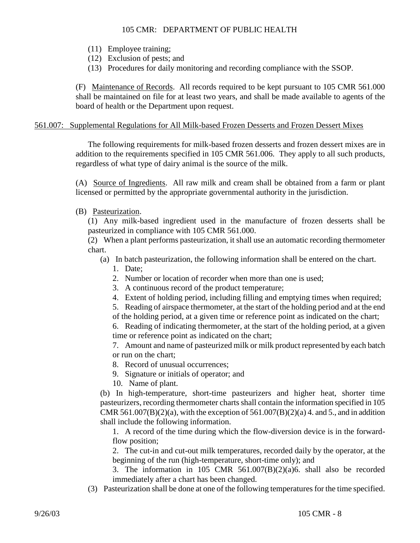- (11) Employee training;
- (12) Exclusion of pests; and
- (13) Procedures for daily monitoring and recording compliance with the SSOP.

(F) Maintenance of Records. All records required to be kept pursuant to 105 CMR 561.000 shall be maintained on file for at least two years, and shall be made available to agents of the board of health or the Department upon request.

# 561.007: Supplemental Regulations for All Milk-based Frozen Desserts and Frozen Dessert Mixes

The following requirements for milk-based frozen desserts and frozen dessert mixes are in addition to the requirements specified in 105 CMR 561.006. They apply to all such products, regardless of what type of dairy animal is the source of the milk.

(A) Source of Ingredients. All raw milk and cream shall be obtained from a farm or plant licensed or permitted by the appropriate governmental authority in the jurisdiction.

(B) Pasteurization.

(1) Any milk-based ingredient used in the manufacture of frozen desserts shall be pasteurized in compliance with 105 CMR 561.000.

(2) When a plant performs pasteurization, it shall use an automatic recording thermometer chart.

- (a) In batch pasteurization, the following information shall be entered on the chart.
	- 1. Date;
	- 2. Number or location of recorder when more than one is used;
	- 3. A continuous record of the product temperature;
	- 4. Extent of holding period, including filling and emptying times when required;

5. Reading of airspace thermometer, at the start of the holding period and at the end

of the holding period, at a given time or reference point as indicated on the chart;

6. Reading of indicating thermometer, at the start of the holding period, at a given time or reference point as indicated on the chart;

7. Amount and name of pasteurized milk or milk product represented by each batch or run on the chart;

- 8. Record of unusual occurrences;
- 9. Signature or initials of operator; and
- 10. Name of plant.

(b) In high-temperature, short-time pasteurizers and higher heat, shorter time pasteurizers, recording thermometer charts shall contain the information specified in 105 CMR 561.007(B)(2)(a), with the exception of 561.007(B)(2)(a) 4. and 5., and in addition shall include the following information.

1. A record of the time during which the flow-diversion device is in the forwardflow position;

2. The cut-in and cut-out milk temperatures, recorded daily by the operator, at the beginning of the run (high-temperature, short-time only); and

3. The information in 105 CMR 561.007(B)(2)(a)6. shall also be recorded immediately after a chart has been changed.

(3) Pasteurization shall be done at one of the following temperatures for the time specified.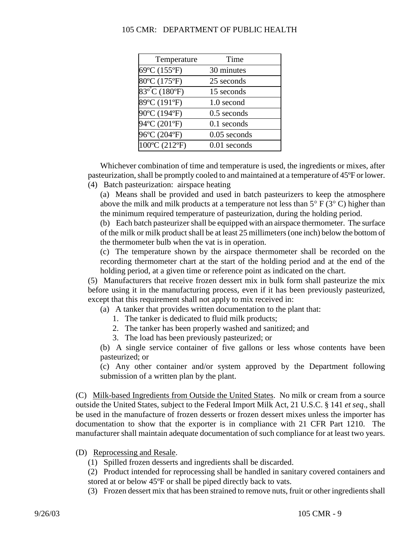| Temperature            | Time           |
|------------------------|----------------|
| 69°C (155°F)           | 30 minutes     |
| 80°C (175°F)           | 25 seconds     |
| $83^{\circ}$ C (180°F) | 15 seconds     |
| 89°C (191°F)           | 1.0 second     |
| 90°C (194°F)           | $0.5$ seconds  |
| 94°C (201°F)           | $0.1$ seconds  |
| 96°C (204°F)           | $0.05$ seconds |
| 100°C (212°F)          | $0.01$ seconds |

Whichever combination of time and temperature is used, the ingredients or mixes, after pasteurization, shall be promptly cooled to and maintained at a temperature of 45ºF or lower.

(4) Batch pasteurization: airspace heating

(a) Means shall be provided and used in batch pasteurizers to keep the atmosphere above the milk and milk products at a temperature not less than  $5^{\circ}$  F ( $3^{\circ}$ C) higher than the minimum required temperature of pasteurization, during the holding period.

(b) Each batch pasteurizer shall be equipped with an airspace thermometer. The surface of the milk or milk product shall be at least 25 millimeters (one inch) below the bottom of the thermometer bulb when the vat is in operation.

(c) The temperature shown by the airspace thermometer shall be recorded on the recording thermometer chart at the start of the holding period and at the end of the holding period, at a given time or reference point as indicated on the chart.

(5) Manufacturers that receive frozen dessert mix in bulk form shall pasteurize the mix before using it in the manufacturing process, even if it has been previously pasteurized, except that this requirement shall not apply to mix received in:

(a) A tanker that provides written documentation to the plant that:

- 1. The tanker is dedicated to fluid milk products;
- 2. The tanker has been properly washed and sanitized; and
- 3. The load has been previously pasteurized; or

(b) A single service container of five gallons or less whose contents have been pasteurized; or

(c) Any other container and/or system approved by the Department following submission of a written plan by the plant.

(C) Milk-based Ingredients from Outside the United States. No milk or cream from a source outside the United States, subject to the Federal Import Milk Act, 21 U.S.C. § 141 *et seq*., shall be used in the manufacture of frozen desserts or frozen dessert mixes unless the importer has documentation to show that the exporter is in compliance with 21 CFR Part 1210. The manufacturer shall maintain adequate documentation of such compliance for at least two years.

- (D) Reprocessing and Resale.
	- (1) Spilled frozen desserts and ingredients shall be discarded.

(2) Product intended for reprocessing shall be handled in sanitary covered containers and stored at or below 45ºF or shall be piped directly back to vats.

(3) Frozen dessert mix that has been strained to remove nuts, fruit or other ingredients shall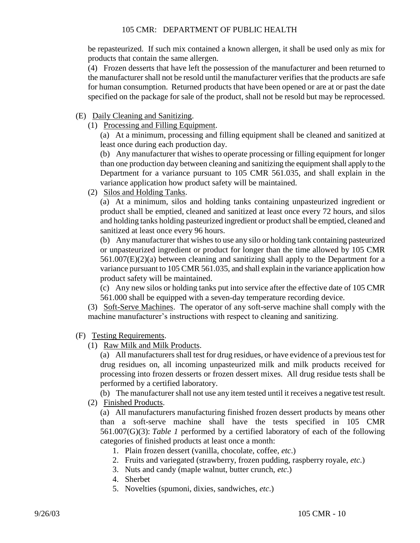be repasteurized. If such mix contained a known allergen, it shall be used only as mix for products that contain the same allergen.

(4) Frozen desserts that have left the possession of the manufacturer and been returned to the manufacturer shall not be resold until the manufacturer verifies that the products are safe for human consumption. Returned products that have been opened or are at or past the date specified on the package for sale of the product, shall not be resold but may be reprocessed.

- (E) Daily Cleaning and Sanitizing.
	- (1) Processing and Filling Equipment.

(a) At a minimum, processing and filling equipment shall be cleaned and sanitized at least once during each production day.

(b) Any manufacturer that wishes to operate processing or filling equipment for longer than one production day between cleaning and sanitizing the equipment shall apply to the Department for a variance pursuant to 105 CMR 561.035, and shall explain in the variance application how product safety will be maintained.

(2) Silos and Holding Tanks.

(a) At a minimum, silos and holding tanks containing unpasteurized ingredient or product shall be emptied, cleaned and sanitized at least once every 72 hours, and silos and holding tanks holding pasteurized ingredient or product shall be emptied, cleaned and sanitized at least once every 96 hours.

(b) Any manufacturer that wishes to use any silo or holding tank containing pasteurized or unpasteurized ingredient or product for longer than the time allowed by 105 CMR 561.007(E)(2)(a) between cleaning and sanitizing shall apply to the Department for a variance pursuant to 105 CMR 561.035, and shall explain in the variance application how product safety will be maintained.

(c) Any new silos or holding tanks put into service after the effective date of 105 CMR 561.000 shall be equipped with a seven-day temperature recording device.

(3) Soft-Serve Machines. The operator of any soft-serve machine shall comply with the machine manufacturer's instructions with respect to cleaning and sanitizing.

(F) Testing Requirements.

(1) Raw Milk and Milk Products.

(a) All manufacturers shall test for drug residues, or have evidence of a previoustest for drug residues on, all incoming unpasteurized milk and milk products received for processing into frozen desserts or frozen dessert mixes. All drug residue tests shall be performed by a certified laboratory.

(b) The manufacturer shall not use any item tested until it receives a negative test result.

(2) Finished Products.

(a) All manufacturers manufacturing finished frozen dessert products by means other than a soft-serve machine shall have the tests specified in 105 CMR 561.007(G)(3): *Table 1* performed by a certified laboratory of each of the following categories of finished products at least once a month:

- 1. Plain frozen dessert (vanilla, chocolate, coffee, *etc*.)
- 2. Fruits and variegated (strawberry, frozen pudding, raspberry royale, *etc*.)
- 3. Nuts and candy (maple walnut, butter crunch, *etc*.)
- 4. Sherbet
- 5. Novelties (spumoni, dixies, sandwiches, *etc*.)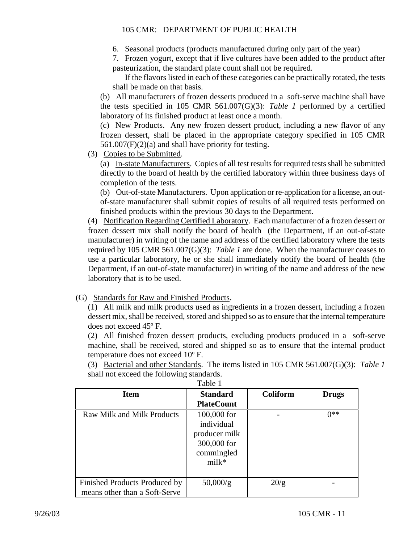6. Seasonal products (products manufactured during only part of the year)

7. Frozen yogurt, except that if live cultures have been added to the product after pasteurization, the standard plate count shall not be required.

If the flavors listed in each of these categories can be practically rotated, the tests shall be made on that basis.

(b) All manufacturers of frozen desserts produced in a soft-serve machine shall have the tests specified in 105 CMR 561.007(G)(3): *Table 1* performed by a certified laboratory of its finished product at least once a month.

(c) New Products. Any new frozen dessert product, including a new flavor of any frozen dessert, shall be placed in the appropriate category specified in 105 CMR 561.007(F)(2)(a) and shall have priority for testing.

(3) Copies to be Submitted.

(a) In-state Manufacturers. Copies of all test results for required tests shall be submitted directly to the board of health by the certified laboratory within three business days of completion of the tests.

(b) Out-of-state Manufacturers. Upon application or re-application for a license, an outof-state manufacturer shall submit copies of results of all required tests performed on finished products within the previous 30 days to the Department.

(4) Notification Regarding Certified Laboratory. Each manufacturer of a frozen dessert or frozen dessert mix shall notify the board of health (the Department, if an out-of-state manufacturer) in writing of the name and address of the certified laboratory where the tests required by 105 CMR 561.007(G)(3): *Table 1* are done. When the manufacturer ceases to use a particular laboratory, he or she shall immediately notify the board of health (the Department, if an out-of-state manufacturer) in writing of the name and address of the new laboratory that is to be used.

# (G) Standards for Raw and Finished Products.

(1) All milk and milk products used as ingredients in a frozen dessert, including a frozen dessert mix, shall be received, stored and shipped so as to ensure that the internal temperature does not exceed 45º F.

(2) All finished frozen dessert products, excluding products produced in a soft-serve machine, shall be received, stored and shipped so as to ensure that the internal product temperature does not exceed 10º F.

(3) Bacterial and other Standards. The items listed in 105 CMR 561.007(G)(3): *Table 1* shall not exceed the following standards.

| ruviv r                       |                   |                 |              |  |
|-------------------------------|-------------------|-----------------|--------------|--|
| <b>Item</b>                   | <b>Standard</b>   | <b>Coliform</b> | <b>Drugs</b> |  |
|                               | <b>PlateCount</b> |                 |              |  |
| Raw Milk and Milk Products    | 100,000 for       |                 | $0**$        |  |
|                               | individual        |                 |              |  |
|                               | producer milk     |                 |              |  |
|                               | 300,000 for       |                 |              |  |
|                               | commingled        |                 |              |  |
|                               | $milk*$           |                 |              |  |
|                               |                   |                 |              |  |
| Finished Products Produced by | 50,000/g          | 20/g            |              |  |
| means other than a Soft-Serve |                   |                 |              |  |

Table 1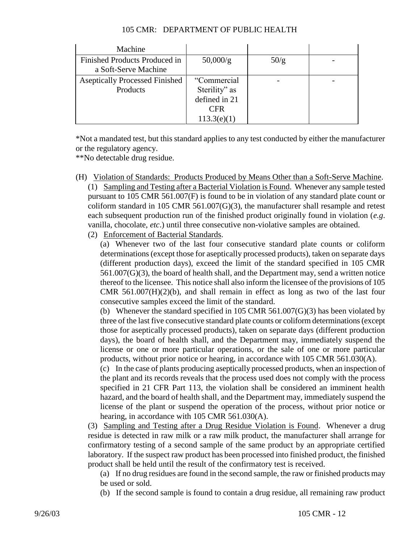| Machine                                               |               |      |  |
|-------------------------------------------------------|---------------|------|--|
| Finished Products Produced in<br>a Soft-Serve Machine | 50,000/g      | 50/g |  |
| <b>Aseptically Processed Finished</b>                 | "Commercial   |      |  |
| Products                                              | Sterility" as |      |  |
|                                                       | defined in 21 |      |  |
|                                                       | <b>CFR</b>    |      |  |
|                                                       | 113.3(e)(1)   |      |  |

\*Not a mandated test, but this standard applies to any test conducted by either the manufacturer or the regulatory agency.

\*\*No detectable drug residue.

(H) Violation of Standards: Products Produced by Means Other than a Soft-Serve Machine.

(1) Sampling and Testing after a Bacterial Violation is Found. Whenever any sample tested pursuant to 105 CMR 561.007(F) is found to be in violation of any standard plate count or coliform standard in 105 CMR  $561.007(G)(3)$ , the manufacturer shall resample and retest each subsequent production run of the finished product originally found in violation (*e.g*. vanilla, chocolate, *etc*.) until three consecutive non-violative samples are obtained.

(2) Enforcement of Bacterial Standards.

(a) Whenever two of the last four consecutive standard plate counts or coliform determinations (except those for aseptically processed products), taken on separate days (different production days), exceed the limit of the standard specified in 105 CMR 561.007(G)(3), the board of health shall, and the Department may, send a written notice thereof to the licensee. This notice shall also inform the licensee of the provisions of 105 CMR  $561.007(H)(2)(b)$ , and shall remain in effect as long as two of the last four consecutive samples exceed the limit of the standard.

(b) Whenever the standard specified in 105 CMR 561.007(G)(3) has been violated by three of the last five consecutive standard plate counts or coliform determinations (except those for aseptically processed products), taken on separate days (different production days), the board of health shall, and the Department may, immediately suspend the license or one or more particular operations, or the sale of one or more particular products, without prior notice or hearing, in accordance with 105 CMR 561.030(A).

(c) In the case of plants producing aseptically processed products, when an inspection of the plant and its records reveals that the process used does not comply with the process specified in 21 CFR Part 113, the violation shall be considered an imminent health hazard, and the board of health shall, and the Department may, immediately suspend the license of the plant or suspend the operation of the process, without prior notice or hearing, in accordance with 105 CMR 561.030(A).

(3) Sampling and Testing after a Drug Residue Violation is Found. Whenever a drug residue is detected in raw milk or a raw milk product, the manufacturer shall arrange for confirmatory testing of a second sample of the same product by an appropriate certified laboratory. If the suspect raw product has been processed into finished product, the finished product shall be held until the result of the confirmatory test is received.

(a) If no drug residues are found in the second sample, the raw or finished products may be used or sold.

(b) If the second sample is found to contain a drug residue, all remaining raw product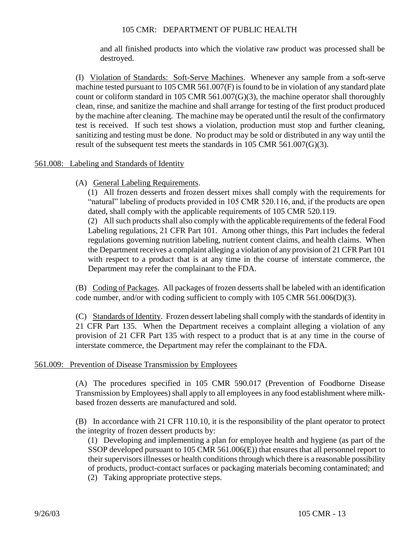and all finished products into which the violative raw product was processed shall be destroyed.

(I) Violation of Standards: Soft-Serve Machines. Whenever any sample from a soft-serve machine tested pursuant to 105 CMR 561.007(F) is found to be in violation of any standard plate count or coliform standard in 105 CMR 561.007(G)(3), the machine operator shall thoroughly clean, rinse, and sanitize the machine and shall arrange for testing of the first product produced by the machine after cleaning. The machine may be operated until the result of the confirmatory test is received. If such test shows a violation, production must stop and further cleaning, sanitizing and testing must be done. No product may be sold or distributed in any way until the result of the subsequent test meets the standards in 105 CMR 561.007(G)(3).

### 561.008: Labeling and Standards of Identity

(A) General Labeling Requirements.

(1) All frozen desserts and frozen dessert mixes shall comply with the requirements for "natural" labeling of products provided in 105 CMR 520.116, and, if the products are open dated, shall comply with the applicable requirements of 105 CMR 520.119.

(2) All such products shall also comply with the applicable requirements of the federal Food Labeling regulations, 21 CFR Part 101. Among other things, this Part includes the federal regulations governing nutrition labeling, nutrient content claims, and health claims. When the Department receives a complaint alleging a violation of any provision of 21 CFR Part 101 with respect to a product that is at any time in the course of interstate commerce, the Department may refer the complainant to the FDA.

(B) Coding of Packages. All packages of frozen desserts shall be labeled with an identification code number, and/or with coding sufficient to comply with 105 CMR 561.006(D)(3).

(C) Standards of Identity. Frozen dessert labeling shall comply with the standards of identity in 21 CFR Part 135. When the Department receives a complaint alleging a violation of any provision of 21 CFR Part 135 with respect to a product that is at any time in the course of interstate commerce, the Department may refer the complainant to the FDA.

### 561.009: Prevention of Disease Transmission by Employees

(A) The procedures specified in 105 CMR 590.017 (Prevention of Foodborne Disease Transmission by Employees) shall apply to all employees in any food establishment where milkbased frozen desserts are manufactured and sold.

(B) In accordance with 21 CFR 110.10, it is the responsibility of the plant operator to protect the integrity of frozen dessert products by:

(1) Developing and implementing a plan for employee health and hygiene (as part of the SSOP developed pursuant to 105 CMR 561.006(E)) that ensures that all personnel report to their supervisors illnesses or health conditions through which there is a reasonable possibility of products, product-contact surfaces or packaging materials becoming contaminated; and (2) Taking appropriate protective steps.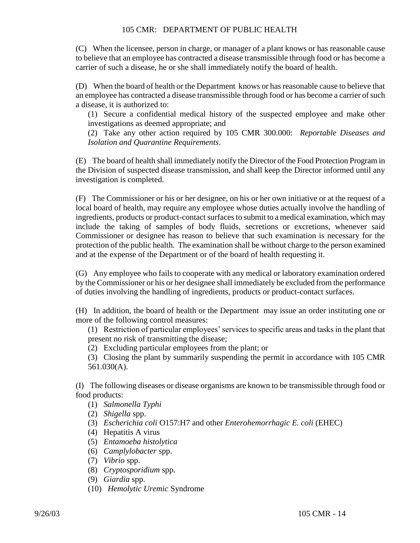(C) When the licensee, person in charge, or manager of a plant knows or has reasonable cause to believe that an employee has contracted a disease transmissible through food or has become a carrier of such a disease, he or she shall immediately notify the board of health.

(D) When the board of health or the Department knows or has reasonable cause to believe that an employee has contracted a disease transmissible through food or has become a carrier of such a disease, it is authorized to:

(1) Secure a confidential medical history of the suspected employee and make other investigations as deemed appropriate; and

(2) Take any other action required by 105 CMR 300.000: *Reportable Diseases and Isolation and Quarantine Requirements*.

(E) The board of health shall immediately notify the Director of the Food Protection Program in the Division of suspected disease transmission, and shall keep the Director informed until any investigation is completed.

(F) The Commissioner or his or her designee, on his or her own initiative or at the request of a local board of health, may require any employee whose duties actually involve the handling of ingredients, products or product-contact surfaces to submit to a medical examination, which may include the taking of samples of body fluids, secretions or excretions, whenever said Commissioner or designee has reason to believe that such examination is necessary for the protection of the public health. The examination shall be without charge to the person examined and at the expense of the Department or of the board of health requesting it.

(G) Any employee who fails to cooperate with any medical or laboratory examination ordered by the Commissioner or his or her designee shall immediately be excluded from the performance of duties involving the handling of ingredients, products or product-contact surfaces.

(H) In addition, the board of health or the Department may issue an order instituting one or more of the following control measures:

(1) Restriction of particular employees' services to specific areas and tasks in the plant that present no risk of transmitting the disease;

(2) Excluding particular employees from the plant; or

(3) Closing the plant by summarily suspending the permit in accordance with 105 CMR 561.030(A).

(I) The following diseases or disease organisms are known to be transmissible through food or food products:

(1) *Salmonella Typhi*

(2) *Shigella* spp.

(3) *Escherichia coli* O157:H7 and other *Enterohemorrhagic E. coli* (EHEC)

(4) Hepatitis A virus

(5) *Entamoeba histolytica*

(6) *Camplylobacter* spp.

(7) *Vibrio* spp.

(8) *Cryptosporidium* spp.

(9) *Giardia* spp.

(10) *Hemolytic Uremic* Syndrome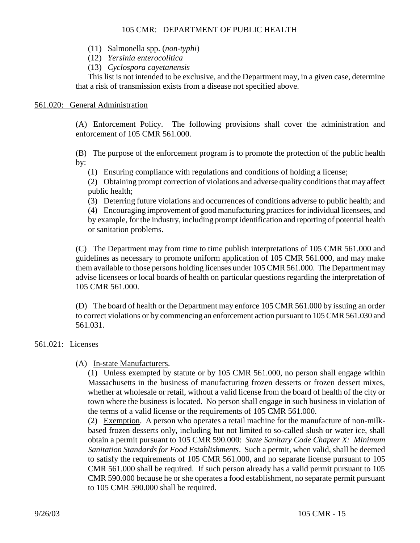- (11) Salmonella spp. (*non-typhi*)
- (12) *Yersinia enterocolitica*
- (13) *Cyclospora cayetanensis*

This list is not intended to be exclusive, and the Department may, in a given case, determine that a risk of transmission exists from a disease not specified above.

# 561.020: General Administration

(A) Enforcement Policy. The following provisions shall cover the administration and enforcement of 105 CMR 561.000.

(B) The purpose of the enforcement program is to promote the protection of the public health by:

- (1) Ensuring compliance with regulations and conditions of holding a license;
- (2) Obtaining prompt correction of violations and adverse quality conditions that may affect public health;
- (3) Deterring future violations and occurrences of conditions adverse to public health; and

(4) Encouraging improvement of good manufacturing practices for individual licensees, and by example, for the industry, including prompt identification and reporting of potential health or sanitation problems.

(C) The Department may from time to time publish interpretations of 105 CMR 561.000 and guidelines as necessary to promote uniform application of 105 CMR 561.000, and may make them available to those persons holding licenses under 105 CMR 561.000. The Department may advise licensees or local boards of health on particular questions regarding the interpretation of 105 CMR 561.000.

(D) The board of health or the Department may enforce 105 CMR 561.000 by issuing an order to correct violations or by commencing an enforcement action pursuant to 105 CMR 561.030 and 561.031.

### 561.021: Licenses

### (A) In-state Manufacturers.

(1) Unless exempted by statute or by 105 CMR 561.000, no person shall engage within Massachusetts in the business of manufacturing frozen desserts or frozen dessert mixes, whether at wholesale or retail, without a valid license from the board of health of the city or town where the business is located. No person shall engage in such business in violation of the terms of a valid license or the requirements of 105 CMR 561.000.

(2) Exemption. A person who operates a retail machine for the manufacture of non-milkbased frozen desserts only, including but not limited to so-called slush or water ice, shall obtain a permit pursuant to 105 CMR 590.000: *State Sanitary Code Chapter X: Minimum Sanitation Standards for Food Establishments*. Such a permit, when valid, shall be deemed to satisfy the requirements of 105 CMR 561.000, and no separate license pursuant to 105 CMR 561.000 shall be required. If such person already has a valid permit pursuant to 105 CMR 590.000 because he or she operates a food establishment, no separate permit pursuant to 105 CMR 590.000 shall be required.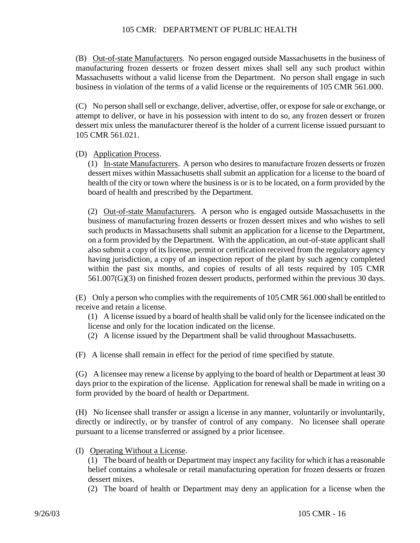(B) Out-of-state Manufacturers. No person engaged outside Massachusetts in the business of manufacturing frozen desserts or frozen dessert mixes shall sell any such product within Massachusetts without a valid license from the Department. No person shall engage in such business in violation of the terms of a valid license or the requirements of 105 CMR 561.000.

(C) No person shall sell or exchange, deliver, advertise, offer, or expose for sale or exchange, or attempt to deliver, or have in his possession with intent to do so, any frozen dessert or frozen dessert mix unless the manufacturer thereof is the holder of a current license issued pursuant to 105 CMR 561.021.

(D) Application Process.

(1) In-state Manufacturers. A person who desires to manufacture frozen desserts or frozen dessert mixes within Massachusetts shall submit an application for a license to the board of health of the city or town where the business is or is to be located, on a form provided by the board of health and prescribed by the Department.

(2) Out-of-state Manufacturers. A person who is engaged outside Massachusetts in the business of manufacturing frozen desserts or frozen dessert mixes and who wishes to sell such products in Massachusetts shall submit an application for a license to the Department, on a form provided by the Department. With the application, an out-of-state applicant shall also submit a copy of its license, permit or certification received from the regulatory agency having jurisdiction, a copy of an inspection report of the plant by such agency completed within the past six months, and copies of results of all tests required by 105 CMR 561.007(G)(3) on finished frozen dessert products, performed within the previous 30 days.

(E) Only a person who complies with the requirements of 105 CMR 561.000 shall be entitled to receive and retain a license.

(1) A license issued by a board of health shall be valid only for the licensee indicated on the license and only for the location indicated on the license.

(2) A license issued by the Department shall be valid throughout Massachusetts.

(F) A license shall remain in effect for the period of time specified by statute.

(G) A licensee may renew a license by applying to the board of health or Department at least 30 days prior to the expiration of the license. Application for renewal shall be made in writing on a form provided by the board of health or Department.

(H) No licensee shall transfer or assign a license in any manner, voluntarily or involuntarily, directly or indirectly, or by transfer of control of any company. No licensee shall operate pursuant to a license transferred or assigned by a prior licensee.

(I) Operating Without a License.

(1) The board of health or Department may inspect any facility for which it has a reasonable belief contains a wholesale or retail manufacturing operation for frozen desserts or frozen dessert mixes.

(2) The board of health or Department may deny an application for a license when the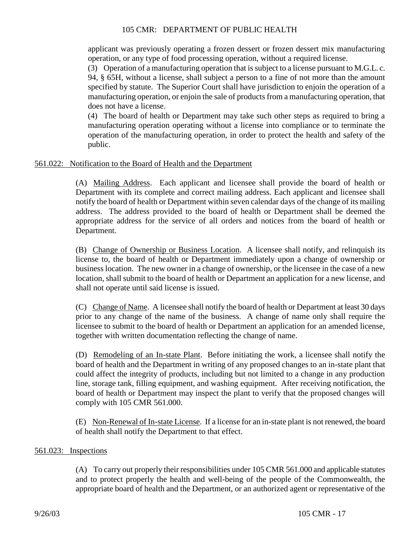applicant was previously operating a frozen dessert or frozen dessert mix manufacturing operation, or any type of food processing operation, without a required license.

(3) Operation of a manufacturing operation that is subject to a license pursuant to M.G.L. c.

94, § 65H, without a license, shall subject a person to a fine of not more than the amount specified by statute. The Superior Court shall have jurisdiction to enjoin the operation of a manufacturing operation, or enjoin the sale of products from a manufacturing operation, that does not have a license.

(4) The board of health or Department may take such other steps as required to bring a manufacturing operation operating without a license into compliance or to terminate the operation of the manufacturing operation, in order to protect the health and safety of the public.

### 561.022: Notification to the Board of Health and the Department

(A) Mailing Address. Each applicant and licensee shall provide the board of health or Department with its complete and correct mailing address. Each applicant and licensee shall notify the board of health or Department within seven calendar days of the change of its mailing address. The address provided to the board of health or Department shall be deemed the appropriate address for the service of all orders and notices from the board of health or Department.

(B) Change of Ownership or Business Location. A licensee shall notify, and relinquish its license to, the board of health or Department immediately upon a change of ownership or business location. The new owner in a change of ownership, or the licensee in the case of a new location, shall submit to the board of health or Department an application for a new license, and shall not operate until said license is issued.

(C) Change of Name. A licensee shall notify the board of health or Department at least 30 days prior to any change of the name of the business. A change of name only shall require the licensee to submit to the board of health or Department an application for an amended license, together with written documentation reflecting the change of name.

(D) Remodeling of an In-state Plant. Before initiating the work, a licensee shall notify the board of health and the Department in writing of any proposed changes to an in-state plant that could affect the integrity of products, including but not limited to a change in any production line, storage tank, filling equipment, and washing equipment. After receiving notification, the board of health or Department may inspect the plant to verify that the proposed changes will comply with 105 CMR 561.000.

(E) Non-Renewal of In-state License. If a license for an in-state plant is not renewed, the board of health shall notify the Department to that effect.

### 561.023: Inspections

(A) To carry out properly their responsibilities under 105 CMR 561.000 and applicable statutes and to protect properly the health and well-being of the people of the Commonwealth, the appropriate board of health and the Department, or an authorized agent or representative of the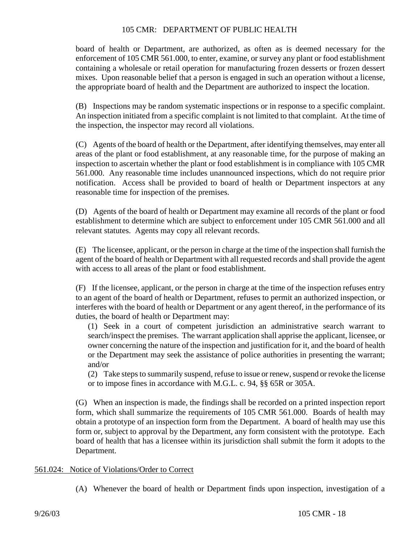board of health or Department, are authorized, as often as is deemed necessary for the enforcement of 105 CMR 561.000, to enter, examine, or survey any plant or food establishment containing a wholesale or retail operation for manufacturing frozen desserts or frozen dessert mixes. Upon reasonable belief that a person is engaged in such an operation without a license, the appropriate board of health and the Department are authorized to inspect the location.

(B) Inspections may be random systematic inspections or in response to a specific complaint. An inspection initiated from a specific complaint is not limited to that complaint. At the time of the inspection, the inspector may record all violations.

(C) Agents of the board of health or the Department, after identifying themselves, may enter all areas of the plant or food establishment, at any reasonable time, for the purpose of making an inspection to ascertain whether the plant or food establishment is in compliance with 105 CMR 561.000. Any reasonable time includes unannounced inspections, which do not require prior notification. Access shall be provided to board of health or Department inspectors at any reasonable time for inspection of the premises.

(D) Agents of the board of health or Department may examine all records of the plant or food establishment to determine which are subject to enforcement under 105 CMR 561.000 and all relevant statutes. Agents may copy all relevant records.

(E) The licensee, applicant, or the person in charge at the time of the inspection shall furnish the agent of the board of health or Department with all requested records and shall provide the agent with access to all areas of the plant or food establishment.

(F) If the licensee, applicant, or the person in charge at the time of the inspection refuses entry to an agent of the board of health or Department, refuses to permit an authorized inspection, or interferes with the board of health or Department or any agent thereof, in the performance of its duties, the board of health or Department may:

(1) Seek in a court of competent jurisdiction an administrative search warrant to search/inspect the premises. The warrant application shall apprise the applicant, licensee, or owner concerning the nature of the inspection and justification for it, and the board of health or the Department may seek the assistance of police authorities in presenting the warrant; and/or

(2) Take steps to summarily suspend, refuse to issue or renew, suspend or revoke the license or to impose fines in accordance with M.G.L. c. 94, §§ 65R or 305A.

(G) When an inspection is made, the findings shall be recorded on a printed inspection report form, which shall summarize the requirements of 105 CMR 561.000. Boards of health may obtain a prototype of an inspection form from the Department. A board of health may use this form or, subject to approval by the Department, any form consistent with the prototype. Each board of health that has a licensee within its jurisdiction shall submit the form it adopts to the Department.

### 561.024: Notice of Violations/Order to Correct

(A) Whenever the board of health or Department finds upon inspection, investigation of a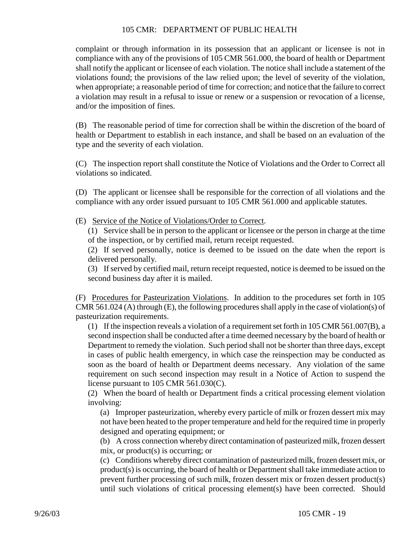complaint or through information in its possession that an applicant or licensee is not in compliance with any of the provisions of 105 CMR 561.000, the board of health or Department shall notify the applicant or licensee of each violation. The notice shall include a statement of the violations found; the provisions of the law relied upon; the level of severity of the violation, when appropriate; a reasonable period of time for correction; and notice that the failure to correct a violation may result in a refusal to issue or renew or a suspension or revocation of a license, and/or the imposition of fines.

(B) The reasonable period of time for correction shall be within the discretion of the board of health or Department to establish in each instance, and shall be based on an evaluation of the type and the severity of each violation.

(C) The inspection report shall constitute the Notice of Violations and the Order to Correct all violations so indicated.

(D) The applicant or licensee shall be responsible for the correction of all violations and the compliance with any order issued pursuant to 105 CMR 561.000 and applicable statutes.

(E) Service of the Notice of Violations/Order to Correct.

(1) Service shall be in person to the applicant or licensee or the person in charge at the time of the inspection, or by certified mail, return receipt requested.

(2) If served personally, notice is deemed to be issued on the date when the report is delivered personally.

(3) If served by certified mail, return receipt requested, notice is deemed to be issued on the second business day after it is mailed.

(F) Procedures for Pasteurization Violations. In addition to the procedures set forth in 105 CMR 561.024 (A) through (E), the following procedures shall apply in the case of violation(s) of pasteurization requirements.

(1) If the inspection reveals a violation of a requirement set forth in 105 CMR 561.007(B), a second inspection shall be conducted after a time deemed necessary by the board of health or Department to remedy the violation. Such period shall not be shorter than three days, except in cases of public health emergency, in which case the reinspection may be conducted as soon as the board of health or Department deems necessary. Any violation of the same requirement on such second inspection may result in a Notice of Action to suspend the license pursuant to 105 CMR 561.030(C).

(2) When the board of health or Department finds a critical processing element violation involving:

(a) Improper pasteurization, whereby every particle of milk or frozen dessert mix may not have been heated to the proper temperature and held for the required time in properly designed and operating equipment; or

(b) A cross connection whereby direct contamination of pasteurized milk, frozen dessert mix, or product(s) is occurring; or

(c) Conditions whereby direct contamination of pasteurized milk, frozen dessert mix, or product(s) is occurring, the board of health or Department shall take immediate action to prevent further processing of such milk, frozen dessert mix or frozen dessert product(s) until such violations of critical processing element(s) have been corrected. Should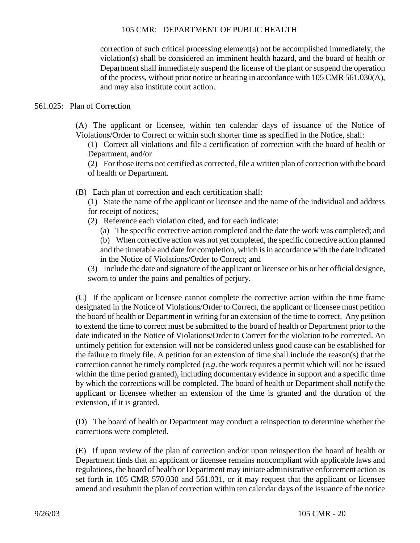correction of such critical processing element(s) not be accomplished immediately, the violation(s) shall be considered an imminent health hazard, and the board of health or Department shall immediately suspend the license of the plant or suspend the operation of the process, without prior notice or hearing in accordance with  $105 \text{ CMR } 561.030(\text{A})$ , and may also institute court action.

# 561.025: Plan of Correction

- (A) The applicant or licensee, within ten calendar days of issuance of the Notice of Violations/Order to Correct or within such shorter time as specified in the Notice, shall:
	- (1) Correct all violations and file a certification of correction with the board of health or Department, and/or

(2) For those items not certified as corrected, file a written plan of correction with the board of health or Department.

- (B) Each plan of correction and each certification shall:
	- (1) State the name of the applicant or licensee and the name of the individual and address for receipt of notices;
	- (2) Reference each violation cited, and for each indicate:
		- (a) The specific corrective action completed and the date the work was completed; and

(b) When corrective action was not yet completed, the specific corrective action planned and the timetable and date for completion, which is in accordance with the date indicated in the Notice of Violations/Order to Correct; and

(3) Include the date and signature of the applicant or licensee or his or her official designee, sworn to under the pains and penalties of perjury.

(C) If the applicant or licensee cannot complete the corrective action within the time frame designated in the Notice of Violations/Order to Correct, the applicant or licensee must petition the board of health or Department in writing for an extension of the time to correct. Any petition to extend the time to correct must be submitted to the board of health or Department prior to the date indicated in the Notice of Violations/Order to Correct for the violation to be corrected. An untimely petition for extension will not be considered unless good cause can be established for the failure to timely file. A petition for an extension of time shall include the reason(s) that the correction cannot be timely completed (*e.g*. the work requires a permit which will not be issued within the time period granted), including documentary evidence in support and a specific time by which the corrections will be completed. The board of health or Department shall notify the applicant or licensee whether an extension of the time is granted and the duration of the extension, if it is granted.

(D) The board of health or Department may conduct a reinspection to determine whether the corrections were completed.

(E) If upon review of the plan of correction and/or upon reinspection the board of health or Department finds that an applicant or licensee remains noncompliant with applicable laws and regulations, the board of health or Department may initiate administrative enforcement action as set forth in 105 CMR 570.030 and 561.031, or it may request that the applicant or licensee amend and resubmit the plan of correction within ten calendar days of the issuance of the notice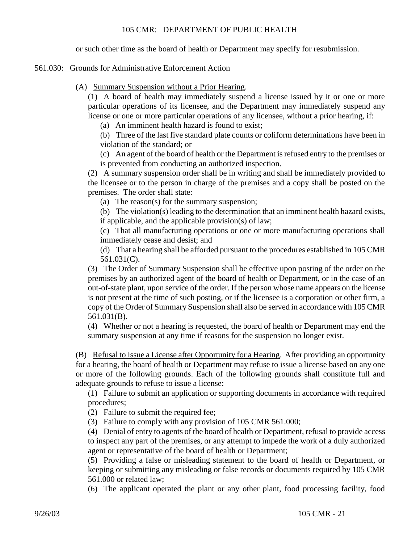or such other time as the board of health or Department may specify for resubmission.

### 561.030: Grounds for Administrative Enforcement Action

(A) Summary Suspension without a Prior Hearing.

(1) A board of health may immediately suspend a license issued by it or one or more particular operations of its licensee, and the Department may immediately suspend any license or one or more particular operations of any licensee, without a prior hearing, if:

(a) An imminent health hazard is found to exist;

(b) Three of the last five standard plate counts or coliform determinations have been in violation of the standard; or

(c) An agent of the board of health or the Department is refused entry to the premises or is prevented from conducting an authorized inspection.

(2) A summary suspension order shall be in writing and shall be immediately provided to the licensee or to the person in charge of the premises and a copy shall be posted on the premises. The order shall state:

(a) The reason(s) for the summary suspension;

(b) The violation(s) leading to the determination that an imminent health hazard exists, if applicable, and the applicable provision(s) of law;

(c) That all manufacturing operations or one or more manufacturing operations shall immediately cease and desist; and

(d) That a hearing shall be afforded pursuant to the procedures established in 105 CMR 561.031(C).

(3) The Order of Summary Suspension shall be effective upon posting of the order on the premises by an authorized agent of the board of health or Department, or in the case of an out-of-state plant, upon service of the order. If the person whose name appears on the license is not present at the time of such posting, or if the licensee is a corporation or other firm, a copy of the Order of Summary Suspension shall also be served in accordance with 105 CMR 561.031(B).

(4) Whether or not a hearing is requested, the board of health or Department may end the summary suspension at any time if reasons for the suspension no longer exist.

(B) Refusal to Issue a License after Opportunity for a Hearing. After providing an opportunity for a hearing, the board of health or Department may refuse to issue a license based on any one or more of the following grounds. Each of the following grounds shall constitute full and adequate grounds to refuse to issue a license:

(1) Failure to submit an application or supporting documents in accordance with required procedures;

- (2) Failure to submit the required fee;
- (3) Failure to comply with any provision of 105 CMR 561.000;

(4) Denial of entry to agents of the board of health or Department, refusal to provide access to inspect any part of the premises, or any attempt to impede the work of a duly authorized agent or representative of the board of health or Department;

(5) Providing a false or misleading statement to the board of health or Department, or keeping or submitting any misleading or false records or documents required by 105 CMR 561.000 or related law;

(6) The applicant operated the plant or any other plant, food processing facility, food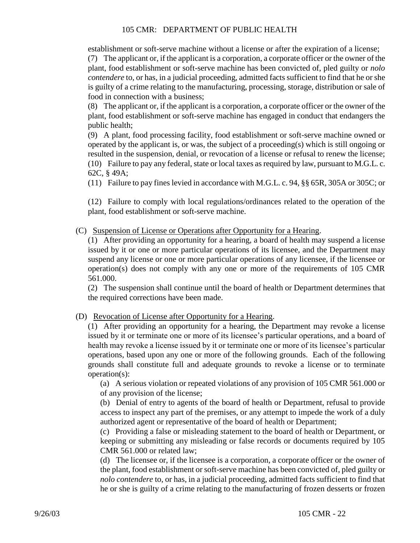establishment or soft-serve machine without a license or after the expiration of a license; (7) The applicant or, if the applicant is a corporation, a corporate officer or the owner of the plant, food establishment or soft-serve machine has been convicted of, pled guilty or *nolo contendere* to, or has, in a judicial proceeding, admitted facts sufficient to find that he or she is guilty of a crime relating to the manufacturing, processing, storage, distribution or sale of food in connection with a business;

(8) The applicant or, if the applicant is a corporation, a corporate officer or the owner of the plant, food establishment or soft-serve machine has engaged in conduct that endangers the public health;

(9) A plant, food processing facility, food establishment or soft-serve machine owned or operated by the applicant is, or was, the subject of a proceeding(s) which is still ongoing or resulted in the suspension, denial, or revocation of a license or refusal to renew the license; (10) Failure to pay any federal, state or local taxes as required by law, pursuant to M.G.L. c. 62C, § 49A;

(11) Failure to pay fines levied in accordance with M.G.L. c. 94, §§ 65R, 305A or 305C; or

(12) Failure to comply with local regulations/ordinances related to the operation of the plant, food establishment or soft-serve machine.

(C) Suspension of License or Operations after Opportunity for a Hearing.

(1) After providing an opportunity for a hearing, a board of health may suspend a license issued by it or one or more particular operations of its licensee, and the Department may suspend any license or one or more particular operations of any licensee, if the licensee or operation(s) does not comply with any one or more of the requirements of 105 CMR 561.000.

(2) The suspension shall continue until the board of health or Department determines that the required corrections have been made.

(D) Revocation of License after Opportunity for a Hearing.

(1) After providing an opportunity for a hearing, the Department may revoke a license issued by it or terminate one or more of its licensee's particular operations, and a board of health may revoke a license issued by it or terminate one or more of its licensee's particular operations, based upon any one or more of the following grounds. Each of the following grounds shall constitute full and adequate grounds to revoke a license or to terminate operation(s):

(a) A serious violation or repeated violations of any provision of 105 CMR 561.000 or of any provision of the license;

(b) Denial of entry to agents of the board of health or Department, refusal to provide access to inspect any part of the premises, or any attempt to impede the work of a duly authorized agent or representative of the board of health or Department;

(c) Providing a false or misleading statement to the board of health or Department, or keeping or submitting any misleading or false records or documents required by 105 CMR 561.000 or related law;

(d) The licensee or, if the licensee is a corporation, a corporate officer or the owner of the plant, food establishment or soft-serve machine has been convicted of, pled guilty or *nolo contendere* to, or has, in a judicial proceeding, admitted facts sufficient to find that he or she is guilty of a crime relating to the manufacturing of frozen desserts or frozen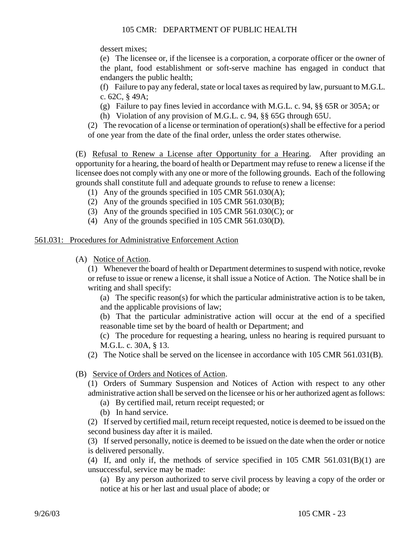dessert mixes;

(e) The licensee or, if the licensee is a corporation, a corporate officer or the owner of the plant, food establishment or soft-serve machine has engaged in conduct that endangers the public health;

(f) Failure to pay any federal, state or local taxes as required by law, pursuant to M.G.L. c. 62C, § 49A;

- (g) Failure to pay fines levied in accordance with M.G.L. c. 94, §§ 65R or 305A; or
- (h) Violation of any provision of M.G.L. c. 94, §§ 65G through 65U.

(2) The revocation of a license or termination of operation(s) shall be effective for a period of one year from the date of the final order, unless the order states otherwise.

(E) Refusal to Renew a License after Opportunity for a Hearing. After providing an opportunity for a hearing, the board of health or Department may refuse to renew a license if the licensee does not comply with any one or more of the following grounds. Each of the following grounds shall constitute full and adequate grounds to refuse to renew a license:

- (1) Any of the grounds specified in 105 CMR 561.030(A);
- (2) Any of the grounds specified in 105 CMR 561.030(B);
- (3) Any of the grounds specified in 105 CMR 561.030(C); or
- (4) Any of the grounds specified in 105 CMR 561.030(D).

#### 561.031: Procedures for Administrative Enforcement Action

(A) Notice of Action.

(1) Whenever the board of health or Department determines to suspend with notice, revoke or refuse to issue or renew a license, it shall issue a Notice of Action. The Notice shall be in writing and shall specify:

(a) The specific reason(s) for which the particular administrative action is to be taken, and the applicable provisions of law;

(b) That the particular administrative action will occur at the end of a specified reasonable time set by the board of health or Department; and

(c) The procedure for requesting a hearing, unless no hearing is required pursuant to M.G.L. c. 30A, § 13.

(2) The Notice shall be served on the licensee in accordance with 105 CMR 561.031(B).

### (B) Service of Orders and Notices of Action.

(1) Orders of Summary Suspension and Notices of Action with respect to any other administrative action shall be served on the licensee or his or her authorized agent as follows:

- (a) By certified mail, return receipt requested; or
- (b) In hand service.

(2) If served by certified mail, return receipt requested, notice is deemed to be issued on the second business day after it is mailed.

(3) If served personally, notice is deemed to be issued on the date when the order or notice is delivered personally.

(4) If, and only if, the methods of service specified in 105 CMR 561.031(B)(1) are unsuccessful, service may be made:

(a) By any person authorized to serve civil process by leaving a copy of the order or notice at his or her last and usual place of abode; or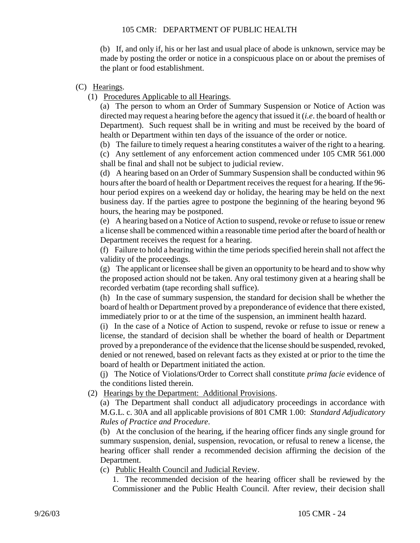(b) If, and only if, his or her last and usual place of abode is unknown, service may be made by posting the order or notice in a conspicuous place on or about the premises of the plant or food establishment.

# (C) Hearings.

(1) Procedures Applicable to all Hearings.

(a) The person to whom an Order of Summary Suspension or Notice of Action was directed may request a hearing before the agency that issued it (*i.e*. the board of health or Department). Such request shall be in writing and must be received by the board of health or Department within ten days of the issuance of the order or notice.

(b) The failure to timely request a hearing constitutes a waiver of the right to a hearing.

(c) Any settlement of any enforcement action commenced under 105 CMR 561.000 shall be final and shall not be subject to judicial review.

(d) A hearing based on an Order of Summary Suspension shall be conducted within 96 hours after the board of health or Department receives the request for a hearing. If the 96 hour period expires on a weekend day or holiday, the hearing may be held on the next business day. If the parties agree to postpone the beginning of the hearing beyond 96 hours, the hearing may be postponed.

(e) A hearing based on a Notice of Action to suspend, revoke or refuse to issue or renew a license shall be commenced within a reasonable time period after the board of health or Department receives the request for a hearing.

(f) Failure to hold a hearing within the time periods specified herein shall not affect the validity of the proceedings.

(g) The applicant or licensee shall be given an opportunity to be heard and to show why the proposed action should not be taken. Any oral testimony given at a hearing shall be recorded verbatim (tape recording shall suffice).

(h) In the case of summary suspension, the standard for decision shall be whether the board of health or Department proved by a preponderance of evidence that there existed, immediately prior to or at the time of the suspension, an imminent health hazard.

(i) In the case of a Notice of Action to suspend, revoke or refuse to issue or renew a license, the standard of decision shall be whether the board of health or Department proved by a preponderance of the evidence that the license should be suspended, revoked, denied or not renewed, based on relevant facts as they existed at or prior to the time the board of health or Department initiated the action.

(j) The Notice of Violations/Order to Correct shall constitute *prima facie* evidence of the conditions listed therein.

# (2) Hearings by the Department: Additional Provisions.

(a) The Department shall conduct all adjudicatory proceedings in accordance with M.G.L. c. 30A and all applicable provisions of 801 CMR 1.00: *Standard Adjudicatory Rules of Practice and Procedure*.

(b) At the conclusion of the hearing, if the hearing officer finds any single ground for summary suspension, denial, suspension, revocation, or refusal to renew a license, the hearing officer shall render a recommended decision affirming the decision of the Department.

(c) Public Health Council and Judicial Review.

1. The recommended decision of the hearing officer shall be reviewed by the Commissioner and the Public Health Council. After review, their decision shall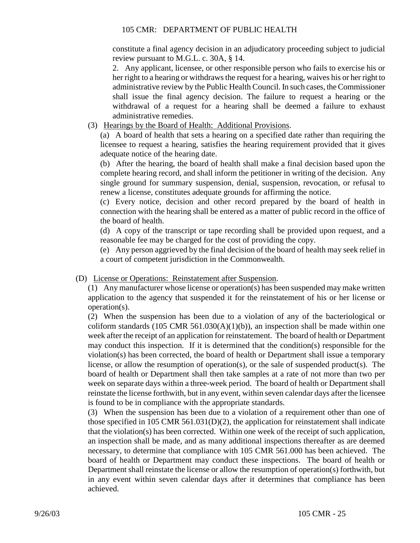constitute a final agency decision in an adjudicatory proceeding subject to judicial review pursuant to M.G.L. c. 30A, § 14.

2. Any applicant, licensee, or other responsible person who fails to exercise his or her right to a hearing or withdraws the request for a hearing, waives his or her right to administrative review by the Public Health Council. In such cases, the Commissioner shall issue the final agency decision. The failure to request a hearing or the withdrawal of a request for a hearing shall be deemed a failure to exhaust administrative remedies.

(3) Hearings by the Board of Health: Additional Provisions.

(a) A board of health that sets a hearing on a specified date rather than requiring the licensee to request a hearing, satisfies the hearing requirement provided that it gives adequate notice of the hearing date.

(b) After the hearing, the board of health shall make a final decision based upon the complete hearing record, and shall inform the petitioner in writing of the decision. Any single ground for summary suspension, denial, suspension, revocation, or refusal to renew a license, constitutes adequate grounds for affirming the notice.

(c) Every notice, decision and other record prepared by the board of health in connection with the hearing shall be entered as a matter of public record in the office of the board of health.

(d) A copy of the transcript or tape recording shall be provided upon request, and a reasonable fee may be charged for the cost of providing the copy.

(e) Any person aggrieved by the final decision of the board of health may seek relief in a court of competent jurisdiction in the Commonwealth.

(D) License or Operations: Reinstatement after Suspension.

(1) Any manufacturer whose license or operation(s) has been suspended may make written application to the agency that suspended it for the reinstatement of his or her license or operation(s).

(2) When the suspension has been due to a violation of any of the bacteriological or coliform standards (105 CMR 561.030(A)(1)(b)), an inspection shall be made within one week after the receipt of an application for reinstatement. The board of health or Department may conduct this inspection. If it is determined that the condition(s) responsible for the violation(s) has been corrected, the board of health or Department shall issue a temporary license, or allow the resumption of operation(s), or the sale of suspended product(s). The board of health or Department shall then take samples at a rate of not more than two per week on separate days within a three-week period. The board of health or Department shall reinstate the license forthwith, but in any event, within seven calendar days after the licensee is found to be in compliance with the appropriate standards.

(3) When the suspension has been due to a violation of a requirement other than one of those specified in 105 CMR 561.031(D)(2), the application for reinstatement shall indicate that the violation(s) has been corrected. Within one week of the receipt of such application, an inspection shall be made, and as many additional inspections thereafter as are deemed necessary, to determine that compliance with 105 CMR 561.000 has been achieved. The board of health or Department may conduct these inspections. The board of health or Department shall reinstate the license or allow the resumption of operation(s) forthwith, but in any event within seven calendar days after it determines that compliance has been achieved.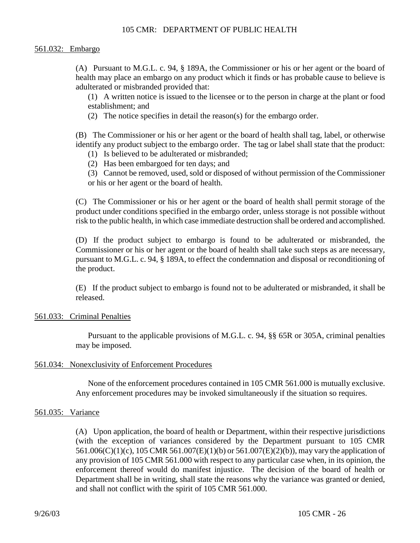#### 561.032: Embargo

(A) Pursuant to M.G.L. c. 94, § 189A, the Commissioner or his or her agent or the board of health may place an embargo on any product which it finds or has probable cause to believe is adulterated or misbranded provided that:

(1) A written notice is issued to the licensee or to the person in charge at the plant or food establishment; and

(2) The notice specifies in detail the reason(s) for the embargo order.

(B) The Commissioner or his or her agent or the board of health shall tag, label, or otherwise identify any product subject to the embargo order. The tag or label shall state that the product:

- (1) Is believed to be adulterated or misbranded;
- (2) Has been embargoed for ten days; and
- (3) Cannot be removed, used, sold or disposed of without permission of the Commissioner or his or her agent or the board of health.

(C) The Commissioner or his or her agent or the board of health shall permit storage of the product under conditions specified in the embargo order, unless storage is not possible without risk to the public health, in which case immediate destruction shall be ordered and accomplished.

(D) If the product subject to embargo is found to be adulterated or misbranded, the Commissioner or his or her agent or the board of health shall take such steps as are necessary, pursuant to M.G.L. c. 94, § 189A, to effect the condemnation and disposal or reconditioning of the product.

(E) If the product subject to embargo is found not to be adulterated or misbranded, it shall be released.

#### 561.033: Criminal Penalties

Pursuant to the applicable provisions of M.G.L. c. 94, §§ 65R or 305A, criminal penalties may be imposed.

#### 561.034: Nonexclusivity of Enforcement Procedures

None of the enforcement procedures contained in 105 CMR 561.000 is mutually exclusive. Any enforcement procedures may be invoked simultaneously if the situation so requires.

#### 561.035: Variance

(A) Upon application, the board of health or Department, within their respective jurisdictions (with the exception of variances considered by the Department pursuant to 105 CMR 561.006(C)(1)(c), 105 CMR 561.007(E)(1)(b) or 561.007(E)(2)(b)), may vary the application of any provision of 105 CMR 561.000 with respect to any particular case when, in its opinion, the enforcement thereof would do manifest injustice. The decision of the board of health or Department shall be in writing, shall state the reasons why the variance was granted or denied, and shall not conflict with the spirit of 105 CMR 561.000.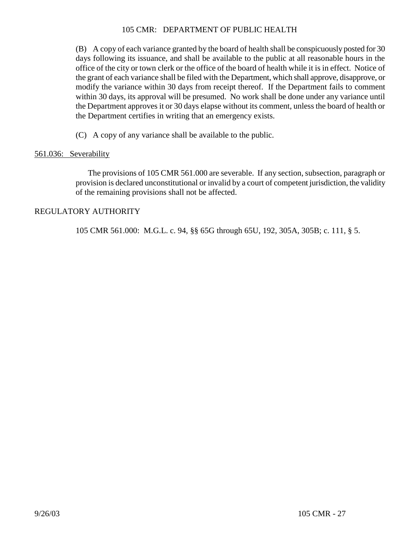(B) A copy of each variance granted by the board of health shall be conspicuously posted for 30 days following its issuance, and shall be available to the public at all reasonable hours in the office of the city or town clerk or the office of the board of health while it is in effect. Notice of the grant of each variance shall be filed with the Department, which shall approve, disapprove, or modify the variance within 30 days from receipt thereof. If the Department fails to comment within 30 days, its approval will be presumed. No work shall be done under any variance until the Department approves it or 30 days elapse without its comment, unless the board of health or the Department certifies in writing that an emergency exists.

(C) A copy of any variance shall be available to the public.

# 561.036: Severability

The provisions of 105 CMR 561.000 are severable. If any section, subsection, paragraph or provision is declared unconstitutional or invalid by a court of competent jurisdiction, the validity of the remaining provisions shall not be affected.

# REGULATORY AUTHORITY

105 CMR 561.000: M.G.L. c. 94, §§ 65G through 65U, 192, 305A, 305B; c. 111, § 5.